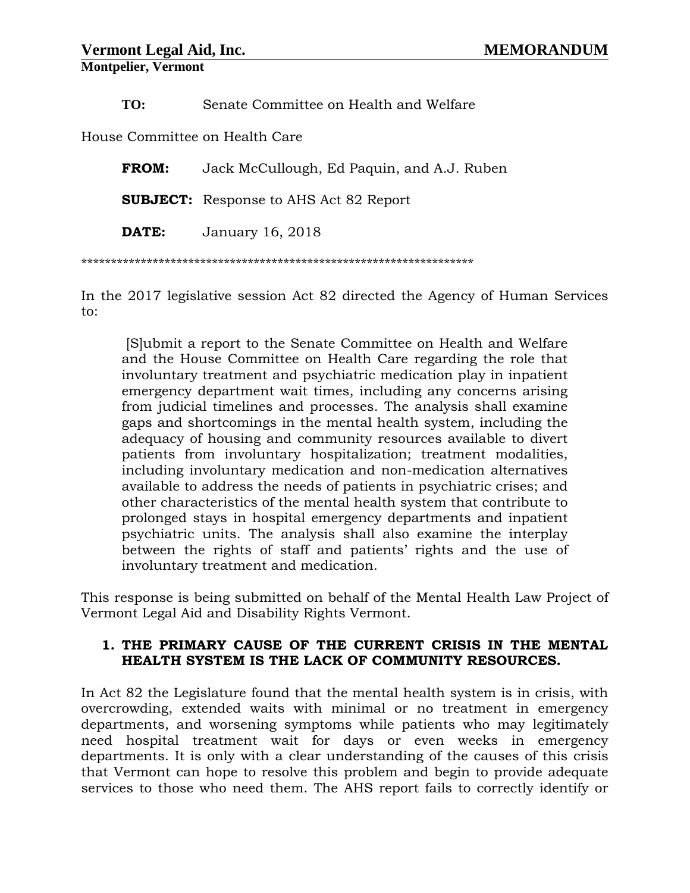**TO:** Senate Committee on Health and Welfare

House Committee on Health Care

**FROM:** Jack McCullough, Ed Paquin, and A.J. Ruben

**SUBJECT:** Response to AHS Act 82 Report

**DATE:** January 16, 2018

\*\*\*\*\*\*\*\*\*\*\*\*\*\*\*\*\*\*\*\*\*\*\*\*\*\*\*\*\*\*\*\*\*\*\*\*\*\*\*\*\*\*\*\*\*\*\*\*\*\*\*\*\*\*\*\*\*\*\*\*\*\*\*\*\*\*

In the 2017 legislative session Act 82 directed the Agency of Human Services to:

[S]ubmit a report to the Senate Committee on Health and Welfare and the House Committee on Health Care regarding the role that involuntary treatment and psychiatric medication play in inpatient emergency department wait times, including any concerns arising from judicial timelines and processes. The analysis shall examine gaps and shortcomings in the mental health system, including the adequacy of housing and community resources available to divert patients from involuntary hospitalization; treatment modalities, including involuntary medication and non-medication alternatives available to address the needs of patients in psychiatric crises; and other characteristics of the mental health system that contribute to prolonged stays in hospital emergency departments and inpatient psychiatric units. The analysis shall also examine the interplay between the rights of staff and patients' rights and the use of involuntary treatment and medication.

This response is being submitted on behalf of the Mental Health Law Project of Vermont Legal Aid and Disability Rights Vermont.

## **1. THE PRIMARY CAUSE OF THE CURRENT CRISIS IN THE MENTAL HEALTH SYSTEM IS THE LACK OF COMMUNITY RESOURCES.**

In Act 82 the Legislature found that the mental health system is in crisis, with overcrowding, extended waits with minimal or no treatment in emergency departments, and worsening symptoms while patients who may legitimately need hospital treatment wait for days or even weeks in emergency departments. It is only with a clear understanding of the causes of this crisis that Vermont can hope to resolve this problem and begin to provide adequate services to those who need them. The AHS report fails to correctly identify or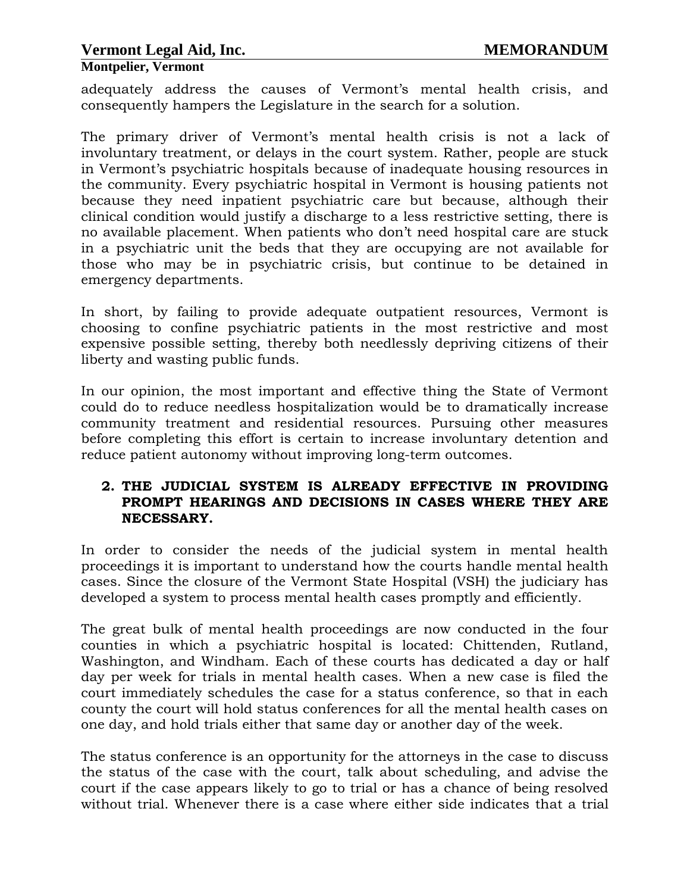**Montpelier, Vermont**

adequately address the causes of Vermont's mental health crisis, and consequently hampers the Legislature in the search for a solution.

The primary driver of Vermont's mental health crisis is not a lack of involuntary treatment, or delays in the court system. Rather, people are stuck in Vermont's psychiatric hospitals because of inadequate housing resources in the community. Every psychiatric hospital in Vermont is housing patients not because they need inpatient psychiatric care but because, although their clinical condition would justify a discharge to a less restrictive setting, there is no available placement. When patients who don't need hospital care are stuck in a psychiatric unit the beds that they are occupying are not available for those who may be in psychiatric crisis, but continue to be detained in emergency departments.

In short, by failing to provide adequate outpatient resources, Vermont is choosing to confine psychiatric patients in the most restrictive and most expensive possible setting, thereby both needlessly depriving citizens of their liberty and wasting public funds.

In our opinion, the most important and effective thing the State of Vermont could do to reduce needless hospitalization would be to dramatically increase community treatment and residential resources. Pursuing other measures before completing this effort is certain to increase involuntary detention and reduce patient autonomy without improving long-term outcomes.

#### **2. THE JUDICIAL SYSTEM IS ALREADY EFFECTIVE IN PROVIDING PROMPT HEARINGS AND DECISIONS IN CASES WHERE THEY ARE NECESSARY.**

In order to consider the needs of the judicial system in mental health proceedings it is important to understand how the courts handle mental health cases. Since the closure of the Vermont State Hospital (VSH) the judiciary has developed a system to process mental health cases promptly and efficiently.

The great bulk of mental health proceedings are now conducted in the four counties in which a psychiatric hospital is located: Chittenden, Rutland, Washington, and Windham. Each of these courts has dedicated a day or half day per week for trials in mental health cases. When a new case is filed the court immediately schedules the case for a status conference, so that in each county the court will hold status conferences for all the mental health cases on one day, and hold trials either that same day or another day of the week.

The status conference is an opportunity for the attorneys in the case to discuss the status of the case with the court, talk about scheduling, and advise the court if the case appears likely to go to trial or has a chance of being resolved without trial. Whenever there is a case where either side indicates that a trial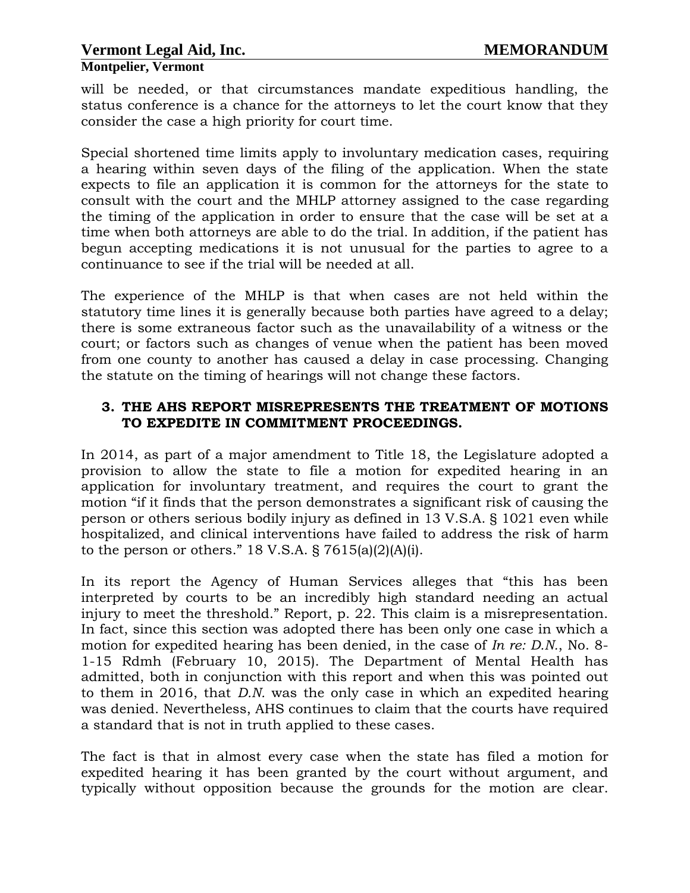will be needed, or that circumstances mandate expeditious handling, the status conference is a chance for the attorneys to let the court know that they consider the case a high priority for court time.

Special shortened time limits apply to involuntary medication cases, requiring a hearing within seven days of the filing of the application. When the state expects to file an application it is common for the attorneys for the state to consult with the court and the MHLP attorney assigned to the case regarding the timing of the application in order to ensure that the case will be set at a time when both attorneys are able to do the trial. In addition, if the patient has begun accepting medications it is not unusual for the parties to agree to a continuance to see if the trial will be needed at all.

The experience of the MHLP is that when cases are not held within the statutory time lines it is generally because both parties have agreed to a delay; there is some extraneous factor such as the unavailability of a witness or the court; or factors such as changes of venue when the patient has been moved from one county to another has caused a delay in case processing. Changing the statute on the timing of hearings will not change these factors.

## **3. THE AHS REPORT MISREPRESENTS THE TREATMENT OF MOTIONS TO EXPEDITE IN COMMITMENT PROCEEDINGS.**

In 2014, as part of a major amendment to Title 18, the Legislature adopted a provision to allow the state to file a motion for expedited hearing in an application for involuntary treatment, and requires the court to grant the motion "if it finds that the person demonstrates a significant risk of causing the person or others serious bodily injury as defined in 13 V.S.A. § 1021 even while hospitalized, and clinical interventions have failed to address the risk of harm to the person or others."  $18$  V.S.A. §  $7615(a)(2)(A)(i)$ .

In its report the Agency of Human Services alleges that "this has been interpreted by courts to be an incredibly high standard needing an actual injury to meet the threshold." Report, p. 22. This claim is a misrepresentation. In fact, since this section was adopted there has been only one case in which a motion for expedited hearing has been denied, in the case of *In re: D.N.*, No. 8- 1-15 Rdmh (February 10, 2015). The Department of Mental Health has admitted, both in conjunction with this report and when this was pointed out to them in 2016, that *D.N.* was the only case in which an expedited hearing was denied. Nevertheless, AHS continues to claim that the courts have required a standard that is not in truth applied to these cases.

The fact is that in almost every case when the state has filed a motion for expedited hearing it has been granted by the court without argument, and typically without opposition because the grounds for the motion are clear.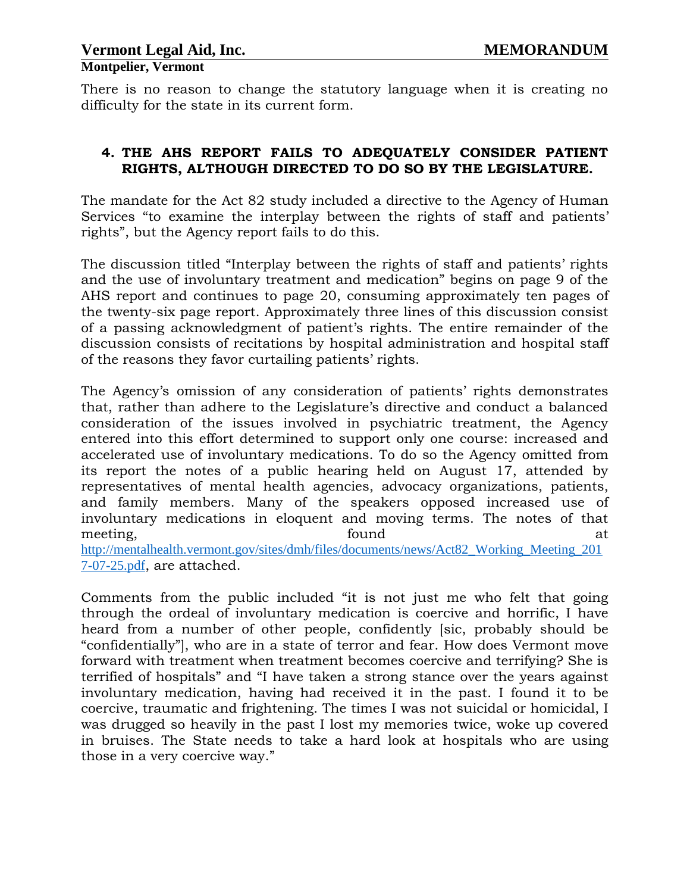There is no reason to change the statutory language when it is creating no difficulty for the state in its current form.

## **4. THE AHS REPORT FAILS TO ADEQUATELY CONSIDER PATIENT RIGHTS, ALTHOUGH DIRECTED TO DO SO BY THE LEGISLATURE.**

The mandate for the Act 82 study included a directive to the Agency of Human Services "to examine the interplay between the rights of staff and patients' rights", but the Agency report fails to do this.

The discussion titled "Interplay between the rights of staff and patients' rights and the use of involuntary treatment and medication" begins on page 9 of the AHS report and continues to page 20, consuming approximately ten pages of the twenty-six page report. Approximately three lines of this discussion consist of a passing acknowledgment of patient's rights. The entire remainder of the discussion consists of recitations by hospital administration and hospital staff of the reasons they favor curtailing patients' rights.

The Agency's omission of any consideration of patients' rights demonstrates that, rather than adhere to the Legislature's directive and conduct a balanced consideration of the issues involved in psychiatric treatment, the Agency entered into this effort determined to support only one course: increased and accelerated use of involuntary medications. To do so the Agency omitted from its report the notes of a public hearing held on August 17, attended by representatives of mental health agencies, advocacy organizations, patients, and family members. Many of the speakers opposed increased use of involuntary medications in eloquent and moving terms. The notes of that meeting, the contraction of the found at the contraction of  $\alpha$  at at the contraction of  $\alpha$ [http://mentalhealth.vermont.gov/sites/dmh/files/documents/news/Act82\\_Working\\_Meeting\\_201](http://mentalhealth.vermont.gov/sites/dmh/files/documents/news/Act82_Working_Meeting_2017-07-25.pdf) [7-07-25.pdf](http://mentalhealth.vermont.gov/sites/dmh/files/documents/news/Act82_Working_Meeting_2017-07-25.pdf), are attached.

Comments from the public included "it is not just me who felt that going through the ordeal of involuntary medication is coercive and horrific, I have heard from a number of other people, confidently [sic, probably should be "confidentially"], who are in a state of terror and fear. How does Vermont move forward with treatment when treatment becomes coercive and terrifying? She is terrified of hospitals" and "I have taken a strong stance over the years against involuntary medication, having had received it in the past. I found it to be coercive, traumatic and frightening. The times I was not suicidal or homicidal, I was drugged so heavily in the past I lost my memories twice, woke up covered in bruises. The State needs to take a hard look at hospitals who are using those in a very coercive way."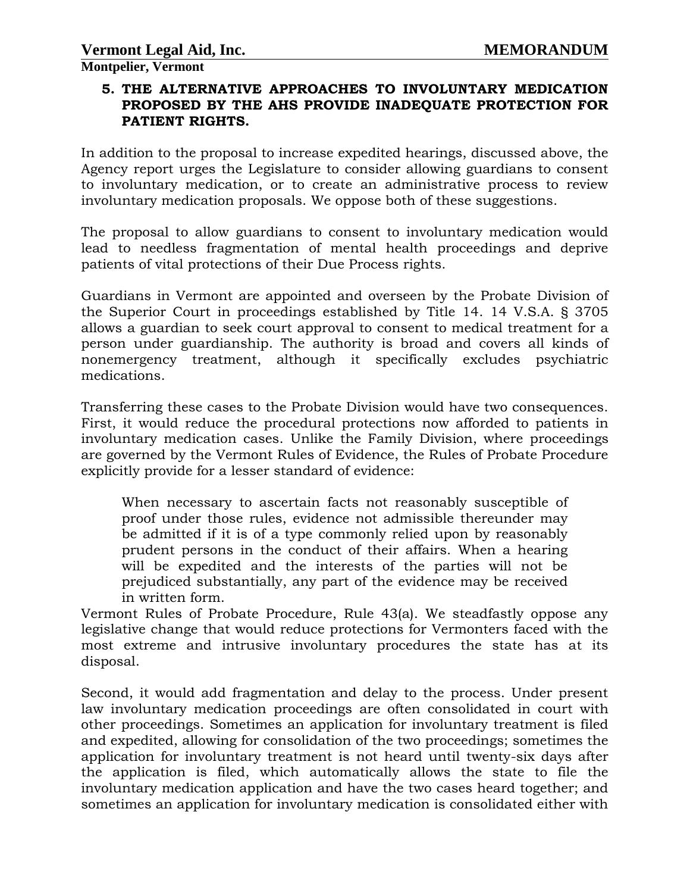# **5. THE ALTERNATIVE APPROACHES TO INVOLUNTARY MEDICATION PROPOSED BY THE AHS PROVIDE INADEQUATE PROTECTION FOR PATIENT RIGHTS.**

In addition to the proposal to increase expedited hearings, discussed above, the Agency report urges the Legislature to consider allowing guardians to consent to involuntary medication, or to create an administrative process to review involuntary medication proposals. We oppose both of these suggestions.

The proposal to allow guardians to consent to involuntary medication would lead to needless fragmentation of mental health proceedings and deprive patients of vital protections of their Due Process rights.

Guardians in Vermont are appointed and overseen by the Probate Division of the Superior Court in proceedings established by Title 14. 14 V.S.A. § 3705 allows a guardian to seek court approval to consent to medical treatment for a person under guardianship. The authority is broad and covers all kinds of nonemergency treatment, although it specifically excludes psychiatric medications.

Transferring these cases to the Probate Division would have two consequences. First, it would reduce the procedural protections now afforded to patients in involuntary medication cases. Unlike the Family Division, where proceedings are governed by the Vermont Rules of Evidence, the Rules of Probate Procedure explicitly provide for a lesser standard of evidence:

When necessary to ascertain facts not reasonably susceptible of proof under those rules, evidence not admissible thereunder may be admitted if it is of a type commonly relied upon by reasonably prudent persons in the conduct of their affairs. When a hearing will be expedited and the interests of the parties will not be prejudiced substantially, any part of the evidence may be received in written form.

Vermont Rules of Probate Procedure, Rule 43(a). We steadfastly oppose any legislative change that would reduce protections for Vermonters faced with the most extreme and intrusive involuntary procedures the state has at its disposal.

Second, it would add fragmentation and delay to the process. Under present law involuntary medication proceedings are often consolidated in court with other proceedings. Sometimes an application for involuntary treatment is filed and expedited, allowing for consolidation of the two proceedings; sometimes the application for involuntary treatment is not heard until twenty-six days after the application is filed, which automatically allows the state to file the involuntary medication application and have the two cases heard together; and sometimes an application for involuntary medication is consolidated either with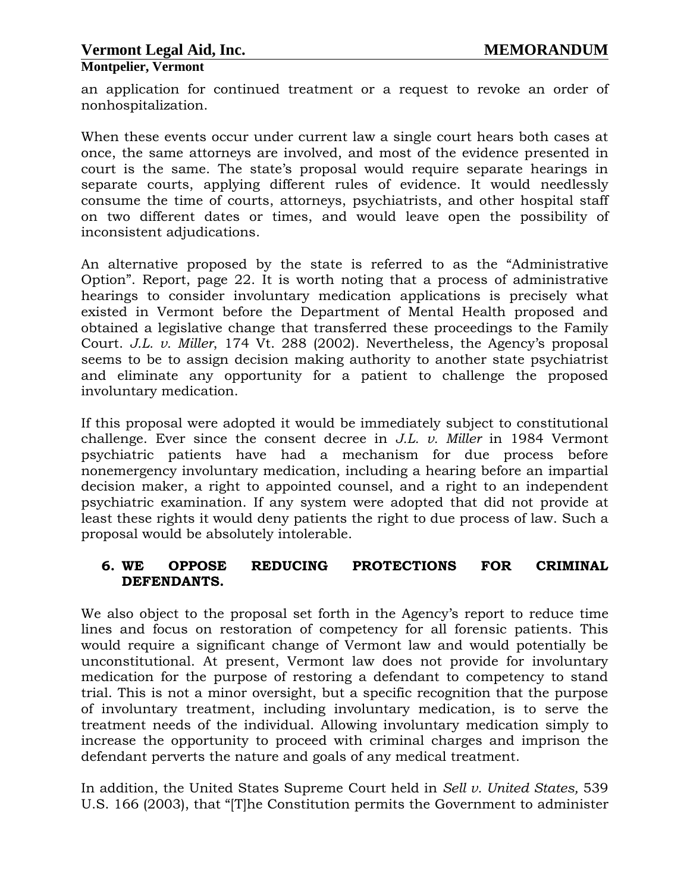## **Montpelier, Vermont**

an application for continued treatment or a request to revoke an order of nonhospitalization.

When these events occur under current law a single court hears both cases at once, the same attorneys are involved, and most of the evidence presented in court is the same. The state's proposal would require separate hearings in separate courts, applying different rules of evidence. It would needlessly consume the time of courts, attorneys, psychiatrists, and other hospital staff on two different dates or times, and would leave open the possibility of inconsistent adjudications.

An alternative proposed by the state is referred to as the "Administrative Option". Report, page 22. It is worth noting that a process of administrative hearings to consider involuntary medication applications is precisely what existed in Vermont before the Department of Mental Health proposed and obtained a legislative change that transferred these proceedings to the Family Court. *J.L. v. Miller*, 174 Vt. 288 (2002). Nevertheless, the Agency's proposal seems to be to assign decision making authority to another state psychiatrist and eliminate any opportunity for a patient to challenge the proposed involuntary medication.

If this proposal were adopted it would be immediately subject to constitutional challenge. Ever since the consent decree in *J.L. v. Miller* in 1984 Vermont psychiatric patients have had a mechanism for due process before nonemergency involuntary medication, including a hearing before an impartial decision maker, a right to appointed counsel, and a right to an independent psychiatric examination. If any system were adopted that did not provide at least these rights it would deny patients the right to due process of law. Such a proposal would be absolutely intolerable.

#### **6. WE OPPOSE REDUCING PROTECTIONS FOR CRIMINAL DEFENDANTS.**

We also object to the proposal set forth in the Agency's report to reduce time lines and focus on restoration of competency for all forensic patients. This would require a significant change of Vermont law and would potentially be unconstitutional. At present, Vermont law does not provide for involuntary medication for the purpose of restoring a defendant to competency to stand trial. This is not a minor oversight, but a specific recognition that the purpose of involuntary treatment, including involuntary medication, is to serve the treatment needs of the individual. Allowing involuntary medication simply to increase the opportunity to proceed with criminal charges and imprison the defendant perverts the nature and goals of any medical treatment.

In addition, the United States Supreme Court held in *Sell v. United States,* 539 U.S. 166 (2003), that "[T]he Constitution permits the Government to administer